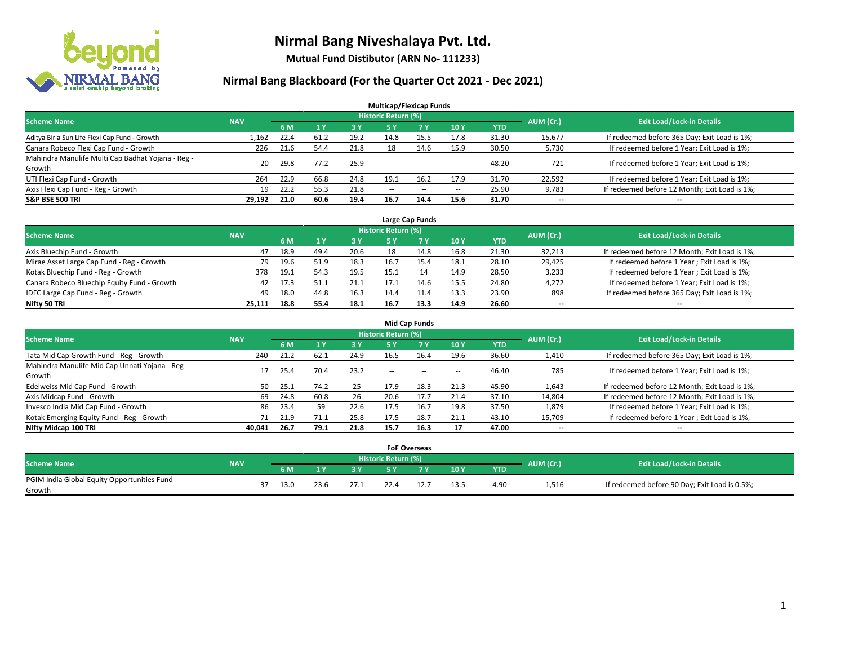

**Mutual Fund Distibutor (ARN No- 111233)**

| <b>Multicap/Flexicap Funds</b>                    |            |      |      |      |                            |       |            |            |                          |                                               |  |  |  |  |
|---------------------------------------------------|------------|------|------|------|----------------------------|-------|------------|------------|--------------------------|-----------------------------------------------|--|--|--|--|
| <b>Scheme Name</b>                                | <b>NAV</b> |      |      |      | <b>Historic Return (%)</b> |       |            |            | AUM (Cr.)                | <b>Exit Load/Lock-in Details</b>              |  |  |  |  |
|                                                   |            | 6 M  | 1Y   | 3 Y  | 75 Y.                      | 7 Y   | <b>10Y</b> | <b>YTD</b> |                          |                                               |  |  |  |  |
| Aditya Birla Sun Life Flexi Cap Fund - Growth     | 1,162      | 22.4 | 61.2 | 19.2 | 14.8                       | 15.5  | 17.8       | 31.30      | 15,677                   | If redeemed before 365 Day; Exit Load is 1%;  |  |  |  |  |
| Canara Robeco Flexi Cap Fund - Growth             | 226        | 21.6 | 54.4 | 21.8 | 18                         | 14.6  | 15.9       | 30.50      | 5,730                    | If redeemed before 1 Year; Exit Load is 1%;   |  |  |  |  |
| Mahindra Manulife Multi Cap Badhat Yojana - Reg - | 20         | 29.8 | 77.2 | 25.9 | $\sim$                     | $- -$ |            | 48.20      | 721                      | If redeemed before 1 Year; Exit Load is 1%;   |  |  |  |  |
| Growth                                            |            |      |      |      |                            |       | $\!-$      |            |                          |                                               |  |  |  |  |
| UTI Flexi Cap Fund - Growth                       | 264        | 22.9 | 66.8 | 24.8 | 19.1                       | 16.2  | 17.9       | 31.70      | 22,592                   | If redeemed before 1 Year; Exit Load is 1%;   |  |  |  |  |
| Axis Flexi Cap Fund - Reg - Growth                | 19         | 22.2 | 55.3 | 21.8 | $\overline{\phantom{a}}$   | $- -$ | $\!-$      | 25.90      | 9,783                    | If redeemed before 12 Month; Exit Load is 1%; |  |  |  |  |
| <b>S&amp;P BSE 500 TRI</b>                        | 29.192     | 21.0 | 60.6 | 19.4 | 16.7                       | 14.4  | 15.6       | 31.70      | $\overline{\phantom{a}}$ | $- -$                                         |  |  |  |  |

| Large Cap Funds                             |            |      |      |      |                            |      |      |       |                          |                                               |  |  |  |  |
|---------------------------------------------|------------|------|------|------|----------------------------|------|------|-------|--------------------------|-----------------------------------------------|--|--|--|--|
| <b>Scheme Name</b>                          | <b>NAV</b> |      |      |      | <b>Historic Return (%)</b> |      |      |       | AUM (Cr.)                | <b>Exit Load/Lock-in Details</b>              |  |  |  |  |
|                                             |            | 6 M  |      | 3 Y  | 5 Y                        |      | 10Y  | YTD   |                          |                                               |  |  |  |  |
| Axis Bluechip Fund - Growth                 | 47         | 18.9 | 49.4 | 20.6 | 18                         | 14.8 | 16.8 | 21.30 | 32,213                   | If redeemed before 12 Month; Exit Load is 1%; |  |  |  |  |
| Mirae Asset Large Cap Fund - Reg - Growth   | 79         | 19.6 | 51.9 | 18.3 | 16.7                       | 15.4 | 18.1 | 28.10 | 29,425                   | If redeemed before 1 Year; Exit Load is 1%;   |  |  |  |  |
| Kotak Bluechip Fund - Reg - Growth          | 378        | 19.1 | 54.3 | 19.5 | 15.1                       |      | 14.9 | 28.50 | 3,233                    | If redeemed before 1 Year; Exit Load is 1%;   |  |  |  |  |
| Canara Robeco Bluechip Equity Fund - Growth | 42         | 17.3 | 51.1 | 21.1 |                            | 14.6 | 15.5 | 24.80 | 4,272                    | If redeemed before 1 Year; Exit Load is 1%;   |  |  |  |  |
| IDFC Large Cap Fund - Reg - Growth          | 49         | 18.0 | 44.8 | 16.3 | 14.4                       |      | 13.3 | 23.90 | 898                      | If redeemed before 365 Day; Exit Load is 1%;  |  |  |  |  |
| Nifty 50 TRI                                | 25.111     | 18.8 | 55.4 | 18.1 | 16.7                       | 13.3 | 14.9 | 26.60 | $\overline{\phantom{a}}$ | $-$                                           |  |  |  |  |

| <b>Mid Cap Funds</b>                                      |            |      |              |      |                            |           |                          |            |           |                                               |  |  |  |  |
|-----------------------------------------------------------|------------|------|--------------|------|----------------------------|-----------|--------------------------|------------|-----------|-----------------------------------------------|--|--|--|--|
| <b>Scheme Name</b>                                        | <b>NAV</b> |      |              |      | <b>Historic Return (%)</b> |           |                          |            | AUM (Cr.) | <b>Exit Load/Lock-in Details</b>              |  |  |  |  |
|                                                           |            | 6 M  |              | 3 Y  | 5 Y                        | <b>7Y</b> | 10Y                      | <b>YTD</b> |           |                                               |  |  |  |  |
| Tata Mid Cap Growth Fund - Reg - Growth                   | 240        | 21.2 | <b>62.</b> ∶ | 24.9 | 16.5                       | 16.4      | 19.6                     | 36.60      | 1,410     | If redeemed before 365 Day; Exit Load is 1%;  |  |  |  |  |
| Mahindra Manulife Mid Cap Unnati Yojana - Reg -<br>Growth |            | 25.4 | 70.4         | 23.2 | $-$                        | $\sim$    | $\overline{\phantom{a}}$ | 46.40      | 785       | If redeemed before 1 Year; Exit Load is 1%;   |  |  |  |  |
| Edelweiss Mid Cap Fund - Growth                           | 50         | 25.1 | 74.2         | 25   | 17.9                       | 18.3      | 21.3                     | 45.90      | 1,643     | If redeemed before 12 Month; Exit Load is 1%; |  |  |  |  |
| Axis Midcap Fund - Growth                                 | 69         | 24.8 | 60.8         | 26   | 20.6                       | 17.7      | 21.4                     | 37.10      | 14,804    | If redeemed before 12 Month; Exit Load is 1%; |  |  |  |  |
| Invesco India Mid Cap Fund - Growth                       | 86         | 23.4 | 59           | 22.6 | 17.5                       | 16.7      | 19.8                     | 37.50      | 1,879     | If redeemed before 1 Year; Exit Load is 1%;   |  |  |  |  |
| Kotak Emerging Equity Fund - Reg - Growth                 |            | 21.9 | 71.1         | 25.8 | 17.5                       | 18.7      | 21.1                     | 43.10      | 15,709    | If redeemed before 1 Year; Exit Load is 1%;   |  |  |  |  |
| Nifty Midcap 100 TRI                                      | 40.041     | 26.7 | 79.1         | 21.8 | 15.7                       | 16.3      | 17                       | 47.00      | $- -$     | $\overline{\phantom{a}}$                      |  |  |  |  |

|                                               |            |      |      |           |                     | <b>FoF Overseas</b> |      |            |           |                                               |
|-----------------------------------------------|------------|------|------|-----------|---------------------|---------------------|------|------------|-----------|-----------------------------------------------|
|                                               | <b>NAV</b> |      |      |           | Historic Return (%) |                     |      |            |           | <b>Exit Load/Lock-in Details</b>              |
| Scheme Name                                   |            | 6 M  | 1 V  | <b>2V</b> |                     | 7 V                 | 10Y  | <b>YTD</b> | AUM (Cr.) |                                               |
| PGIM India Global Equity Opportunities Fund - |            | 13.0 | 23.6 | 27.1      | 22.4                |                     | 13.5 | 4.90       | 1,516     | If redeemed before 90 Day; Exit Load is 0.5%; |
| Growth                                        |            |      |      |           |                     |                     |      |            |           |                                               |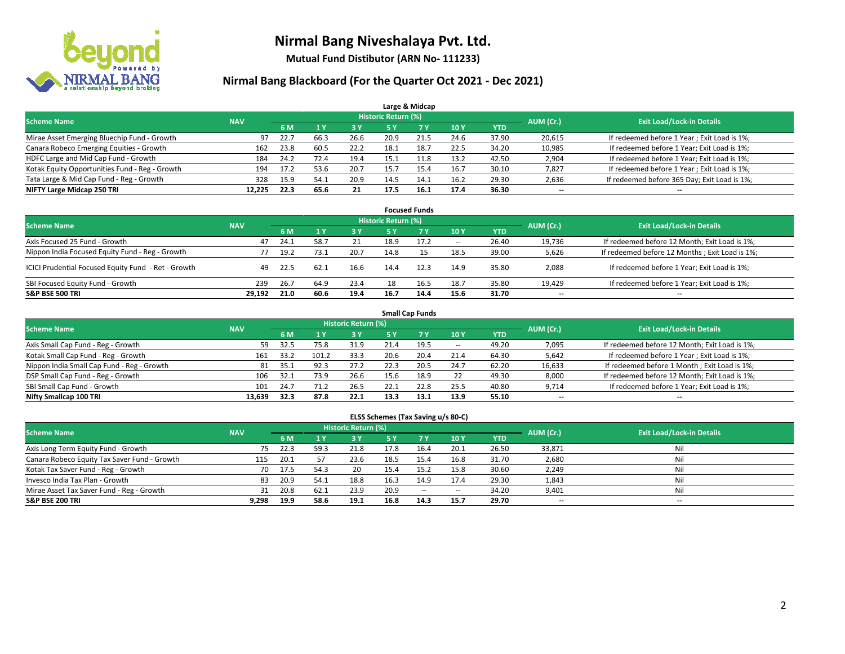

**Mutual Fund Distibutor (ARN No- 111233)**

### **Nirmal Bang Blackboard (For the Quarter Oct 2021 - Dec 2021)**

|                                                |            |      |      |      |                            | Large & Midcap |      |            |                          |                                              |
|------------------------------------------------|------------|------|------|------|----------------------------|----------------|------|------------|--------------------------|----------------------------------------------|
| <b>Scheme Name</b>                             | <b>NAV</b> |      |      |      | <b>Historic Return (%)</b> |                |      |            | AUM (Cr.)                | <b>Exit Load/Lock-in Details</b>             |
|                                                |            | 6 M  |      | 3 Y  | 5 Y                        | 7 Y            | 10Y  | <b>YTD</b> |                          |                                              |
| Mirae Asset Emerging Bluechip Fund - Growth    | 97         | 22.7 | 66.3 | 26.6 | 20.9                       | 21.5           | 24.6 | 37.90      | 20,615                   | If redeemed before 1 Year; Exit Load is 1%;  |
| Canara Robeco Emerging Equities - Growth       | 162        | 23.8 | 60.5 | 22.2 | 18.1                       | 18.7           | 22.5 | 34.20      | 10,985                   | If redeemed before 1 Year; Exit Load is 1%;  |
| HDFC Large and Mid Cap Fund - Growth           | 184        | 24.2 | 72.4 | 19.4 | 15.1                       |                | 13.2 | 42.50      | 2,904                    | If redeemed before 1 Year; Exit Load is 1%;  |
| Kotak Equity Opportunities Fund - Reg - Growth | 194        | 17.2 | 53.6 | 20.7 | 15.7                       | 15.4           | 16.7 | 30.10      | 7,827                    | If redeemed before 1 Year; Exit Load is 1%;  |
| Tata Large & Mid Cap Fund - Reg - Growth       | 328        | 15.9 | 54.1 | 20.9 | 14.5                       | 14.1           | 16.2 | 29.30      | 2,636                    | If redeemed before 365 Day; Exit Load is 1%; |
| NIFTY Large Midcap 250 TRI                     | 12.225     | 22.3 | 65.6 | 21   | 17.5                       | 16.1           | 17.4 | 36.30      | $\overline{\phantom{a}}$ | $- -$                                        |

| <b>Focused Funds</b>                                |            |      |      |      |                     |      |                          |       |                          |                                                |  |  |  |
|-----------------------------------------------------|------------|------|------|------|---------------------|------|--------------------------|-------|--------------------------|------------------------------------------------|--|--|--|
| <b>Scheme Name</b>                                  | <b>NAV</b> |      |      |      | Historic Return (%) |      |                          |       | AUM (Cr.)                | <b>Exit Load/Lock-in Details</b>               |  |  |  |
|                                                     |            | 6 M  |      | 3V   | 5 Y                 | 7 Y  | 10Y                      | YTD   |                          |                                                |  |  |  |
| Axis Focused 25 Fund - Growth                       | 47         | 24.1 | 58.7 | 21   | 18.9                | 17.2 | $\hspace{0.05cm} \cdots$ | 26.40 | 19.736                   | If redeemed before 12 Month; Exit Load is 1%;  |  |  |  |
| Nippon India Focused Equity Fund - Reg - Growth     |            | 19.2 | 73.1 | 20.7 | 14.8                |      | 18.5                     | 39.00 | 5,626                    | If redeemed before 12 Months; Exit Load is 1%; |  |  |  |
| ICICI Prudential Focused Equity Fund - Ret - Growth | 49         | 22.5 | 1.62 | 16.6 | 14.4                | 12.3 | 14.9                     | 35.80 | 2,088                    | If redeemed before 1 Year; Exit Load is 1%;    |  |  |  |
| SBI Focused Equity Fund - Growth                    | 239        | 26.7 | 64.9 | 23.4 | 18                  | 16.5 | 18.7                     | 35.80 | 19.429                   | If redeemed before 1 Year; Exit Load is 1%;    |  |  |  |
| <b>S&amp;P BSE 500 TRI</b>                          | 29.192     | 21.0 | 60.6 | 19.4 | 16.7                | 14.4 | 15.6                     | 31.70 | $\overline{\phantom{a}}$ | $\overline{\phantom{a}}$                       |  |  |  |

| <b>Small Cap Funds</b>                     |            |      |       |                     |      |           |                          |            |                          |                                               |  |  |  |  |
|--------------------------------------------|------------|------|-------|---------------------|------|-----------|--------------------------|------------|--------------------------|-----------------------------------------------|--|--|--|--|
| <b>Scheme Name</b>                         | <b>NAV</b> |      |       | Historic Return (%) |      |           |                          |            | AUM (Cr.)                | <b>Exit Load/Lock-in Details</b>              |  |  |  |  |
|                                            |            | 6 M  |       | 73 Y.               | 5 Y  | <b>7Y</b> | <b>10Y</b>               | <b>YTD</b> |                          |                                               |  |  |  |  |
| Axis Small Cap Fund - Reg - Growth         | 59         | 32.5 | 75.8  | 31.9                | 21.4 | 19.5      | $\overline{\phantom{a}}$ | 49.20      | 7,095                    | If redeemed before 12 Month; Exit Load is 1%; |  |  |  |  |
| Kotak Small Cap Fund - Reg - Growth        | 161        | 33.2 | 101.2 | 33.3                | 20.6 | 20.4      | 21.4                     | 64.30      | 5,642                    | If redeemed before 1 Year; Exit Load is 1%;   |  |  |  |  |
| Nippon India Small Cap Fund - Reg - Growth | 81         | 35.1 | 92.3  | 27.2                | 22.3 | 20.5      | 24.7                     | 62.20      | 16,633                   | If redeemed before 1 Month; Exit Load is 1%;  |  |  |  |  |
| DSP Small Cap Fund - Reg - Growth          | 106        | 32.1 | 73.9  | 26.6                | 15.6 | 18.9      | 22                       | 49.30      | 8,000                    | If redeemed before 12 Month; Exit Load is 1%; |  |  |  |  |
| SBI Small Cap Fund - Growth                | 101        | 24.7 | 71.2  | 26.5                | 22.1 | 22.8      | 25.5                     | 40.80      | 9,714                    | If redeemed before 1 Year; Exit Load is 1%;   |  |  |  |  |
| Nifty Smallcap 100 TRI                     | 13.639     | 32.3 | 87.8  | 22.1                | 13.3 | 13.1      | 13.9                     | 55.10      | $\overline{\phantom{m}}$ | $- -$                                         |  |  |  |  |

#### **ELSS Schemes (Tax Saving u/s 80-C)**

| <b>Scheme Name</b>                           | <b>NAV</b> |      |      | Historic Return (%) |           |           |                          |            | AUM (Cr.) | <b>Exit Load/Lock-in Details</b> |
|----------------------------------------------|------------|------|------|---------------------|-----------|-----------|--------------------------|------------|-----------|----------------------------------|
|                                              |            | 6 M  |      | <b>3Y</b>           | <b>5Y</b> | <b>7Y</b> | <b>10Y</b>               | <b>YTD</b> |           |                                  |
| Axis Long Term Equity Fund - Growth          | 75         | 22.3 | 59.3 | 21.8                | 17.8      | 16.4      | 20.1                     | 26.50      | 33,871    | Nil                              |
| Canara Robeco Equity Tax Saver Fund - Growth | 115        | 20.1 | 57   | 23.6                | 18.5      | 15.4      | 16.8                     | 31.70      | 2,680     | Nil                              |
| Kotak Tax Saver Fund - Reg - Growth          | 70         | 17.5 | 54.3 | 20                  | 15.4      | 15.2      | 15.8                     | 30.60      | 2,249     | Nil                              |
| Invesco India Tax Plan - Growth              | 83         | 20.9 | 54.1 | 18.8                | 16.3      | 14.9      | 17.4                     | 29.30      | 1,843     | Nil                              |
| Mirae Asset Tax Saver Fund - Reg - Growth    | 31         | 20.8 | 62.1 | 23.9                | 20.9      | $\sim$    | $\overline{\phantom{a}}$ | 34.20      | 9,401     | Nil                              |
| <b>S&amp;P BSE 200 TRI</b>                   | 9.298      | 19.9 | 58.6 | 19.1                | 16.8      | 14.3      | 15.7                     | 29.70      | $- -$     | --                               |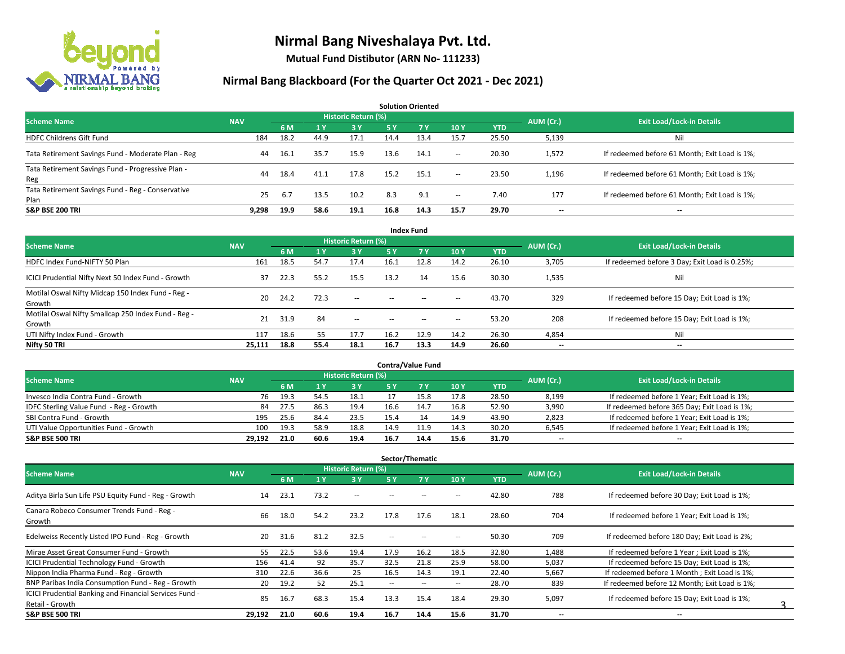

**Mutual Fund Distibutor (ARN No- 111233)**

| <b>Solution Oriented</b>                                  |            |      |      |                     |      |      |        |            |                          |                                               |  |  |  |  |
|-----------------------------------------------------------|------------|------|------|---------------------|------|------|--------|------------|--------------------------|-----------------------------------------------|--|--|--|--|
| <b>Scheme Name</b>                                        | <b>NAV</b> |      |      | Historic Return (%) |      |      |        |            | AUM (Cr.)                | <b>Exit Load/Lock-in Details</b>              |  |  |  |  |
|                                                           |            | 6 M  |      | $-3V$               | 5 Y  | 7Y   | 10Y    | <b>YTD</b> |                          |                                               |  |  |  |  |
| <b>HDFC Childrens Gift Fund</b>                           | 184        | 18.2 | 44.9 | 17.1                | 14.4 | 13.4 | 15.7   | 25.50      | 5,139                    | Ni                                            |  |  |  |  |
| Tata Retirement Savings Fund - Moderate Plan - Reg        | 44         | 16.1 | 35.7 | 15.9                | 13.6 | 14.1 | $\sim$ | 20.30      | 1,572                    | If redeemed before 61 Month; Exit Load is 1%; |  |  |  |  |
| Tata Retirement Savings Fund - Progressive Plan -<br>Reg  | 44         | 18.4 | 41.1 | 17.8                | 15.2 | 15.1 | $\sim$ | 23.50      | 1,196                    | If redeemed before 61 Month; Exit Load is 1%; |  |  |  |  |
| Tata Retirement Savings Fund - Reg - Conservative<br>Plan | 25         | -6.7 | 13.5 | 10.2                | 8.3  | 9.1  | $\sim$ | 7.40       | 177                      | If redeemed before 61 Month; Exit Load is 1%; |  |  |  |  |
| <b>S&amp;P BSE 200 TRI</b>                                | 9.298      | 19.9 | 58.6 | 19.1                | 16.8 | 14.3 | 15.7   | 29.70      | $\overline{\phantom{a}}$ | $- -$                                         |  |  |  |  |

| <b>Index Fund</b>                                             |            |      |           |                            |        |            |                          |            |           |                                               |  |  |  |  |
|---------------------------------------------------------------|------------|------|-----------|----------------------------|--------|------------|--------------------------|------------|-----------|-----------------------------------------------|--|--|--|--|
| <b>Scheme Name</b>                                            | <b>NAV</b> |      |           | <b>Historic Return (%)</b> |        |            |                          |            | AUM (Cr.) | <b>Exit Load/Lock-in Details</b>              |  |  |  |  |
|                                                               |            | 6 M  | <b>1Y</b> | $-3V$                      | 5 Y    | <b>7 Y</b> | 10Y                      | <b>YTD</b> |           |                                               |  |  |  |  |
| HDFC Index Fund-NIFTY 50 Plan                                 | 161        | 18.5 | 54.7      | 17.4                       | 16.1   | 12.8       | 14.2                     | 26.10      | 3,705     | If redeemed before 3 Day; Exit Load is 0.25%; |  |  |  |  |
| ICICI Prudential Nifty Next 50 Index Fund - Growth            | 37         | 22.3 | 55.2      | 15.5                       | 13.2   | 14         | 15.6                     | 30.30      | 1,535     | Nil                                           |  |  |  |  |
| Motilal Oswal Nifty Midcap 150 Index Fund - Reg -<br>Growth   | 20         | 24.2 | 72.3      | $\sim$                     | $\sim$ | $-$        | $\overline{\phantom{a}}$ | 43.70      | 329       | If redeemed before 15 Day; Exit Load is 1%;   |  |  |  |  |
| Motilal Oswal Nifty Smallcap 250 Index Fund - Reg -<br>Growth | 21         | 31.9 | 84        | $\overline{\phantom{a}}$   | $\sim$ | $\sim$     | $\hspace{0.05cm} \cdots$ | 53.20      | 208       | If redeemed before 15 Day; Exit Load is 1%;   |  |  |  |  |
| UTI Nifty Index Fund - Growth                                 | 117        | 18.6 | 55        | 17.7                       | 16.2   | 12.9       | 14.2                     | 26.30      | 4,854     | Nil                                           |  |  |  |  |
| Nifty 50 TRI                                                  | 25,111     | 18.8 | 55.4      | 18.1                       | 16.7   | 13.3       | 14.9                     | 26.60      | $- -$     | $\overline{\phantom{a}}$                      |  |  |  |  |

| <b>Contra/Value Fund</b>                |            |        |      |                     |      |      |      |       |           |                                              |  |  |  |  |
|-----------------------------------------|------------|--------|------|---------------------|------|------|------|-------|-----------|----------------------------------------------|--|--|--|--|
| <b>Scheme Name</b>                      | <b>NAV</b> |        |      | Historic Return (%) |      |      |      |       | AUM (Cr.) | <b>Exit Load/Lock-in Details</b>             |  |  |  |  |
|                                         |            | 6 M    |      | 3 Y                 |      |      | 10Y  | YTD   |           |                                              |  |  |  |  |
| Invesco India Contra Fund - Growth      | 76         | 19.3   | 54.5 | 18.1                |      |      | 17.8 | 28.50 | 8,199     | If redeemed before 1 Year; Exit Load is 1%;  |  |  |  |  |
| IDFC Sterling Value Fund - Reg - Growth | 84         | - 27.5 | 86.3 | 19.4                | 16.6 | 14.7 | 16.8 | 52.90 | 3,990     | If redeemed before 365 Day; Exit Load is 1%; |  |  |  |  |
| SBI Contra Fund - Growth                | 195        | 25.6   | 84.4 | 23.5                | 15.4 |      | 14.9 | 43.90 | 2,823     | If redeemed before 1 Year; Exit Load is 1%;  |  |  |  |  |
| UTI Value Opportunities Fund - Growth   | 100        | 19.3   | 58.9 | 18.8                | 14.9 | 11.9 | 14.3 | 30.20 | 6,545     | If redeemed before 1 Year; Exit Load is 1%;  |  |  |  |  |
| <b>S&amp;P BSE 500 TRI</b>              | 29.192     | 21.0   | 60.6 | 19.4                | 16.7 | 14.4 | 15.6 | 31.70 | $- -$     | $- -$                                        |  |  |  |  |

| Sector/Thematic                                                           |            |      |      |                            |                          |           |                          |            |                          |                                               |  |  |  |
|---------------------------------------------------------------------------|------------|------|------|----------------------------|--------------------------|-----------|--------------------------|------------|--------------------------|-----------------------------------------------|--|--|--|
| <b>Scheme Name</b>                                                        | <b>NAV</b> |      |      | <b>Historic Return (%)</b> |                          |           |                          |            | AUM (Cr.)                | <b>Exit Load/Lock-in Details</b>              |  |  |  |
|                                                                           |            | 6 M  | /1 Y | 3 Y                        | 5 Y                      | <b>7Y</b> | 10Y                      | <b>YTD</b> |                          |                                               |  |  |  |
| Aditya Birla Sun Life PSU Equity Fund - Reg - Growth                      | 14         | 23.1 | 73.2 | $\sim$ $-$                 | --                       |           | --                       | 42.80      | 788                      | If redeemed before 30 Day; Exit Load is 1%;   |  |  |  |
| Canara Robeco Consumer Trends Fund - Reg -<br>Growth                      | 66         | 18.0 | 54.2 | 23.2                       | 17.8                     | 17.6      | 18.1                     | 28.60      | 704                      | If redeemed before 1 Year; Exit Load is 1%;   |  |  |  |
| Edelweiss Recently Listed IPO Fund - Reg - Growth                         | 20         | 31.6 | 81.2 | 32.5                       | $\overline{\phantom{a}}$ | $\sim$    | --                       | 50.30      | 709                      | If redeemed before 180 Day; Exit Load is 2%;  |  |  |  |
| Mirae Asset Great Consumer Fund - Growth                                  | 55         | 22.5 | 53.6 | 19.4                       | 17.9                     | 16.2      | 18.5                     | 32.80      | 1,488                    | If redeemed before 1 Year; Exit Load is 1%;   |  |  |  |
| <b>ICICI Prudential Technology Fund - Growth</b>                          | 156        | 41.4 | 92   | 35.7                       | 32.5                     | 21.8      | 25.9                     | 58.00      | 5,037                    | If redeemed before 15 Day; Exit Load is 1%;   |  |  |  |
| Nippon India Pharma Fund - Reg - Growth                                   | 310        | 22.6 | 36.6 | 25                         | 16.5                     | 14.3      | 19.1                     | 22.40      | 5,667                    | If redeemed before 1 Month; Exit Load is 1%;  |  |  |  |
| BNP Paribas India Consumption Fund - Reg - Growth                         | 20         | 19.2 | 52   | 25.1                       | $\overline{\phantom{a}}$ | $\sim$    | $\overline{\phantom{a}}$ | 28.70      | 839                      | If redeemed before 12 Month; Exit Load is 1%; |  |  |  |
| ICICI Prudential Banking and Financial Services Fund -<br>Retail - Growth | 85         | 16.7 | 68.3 | 15.4                       | 13.3                     | 15.4      | 18.4                     | 29.30      | 5,097                    | If redeemed before 15 Day; Exit Load is 1%;   |  |  |  |
| <b>S&amp;P BSE 500 TRI</b>                                                | 29,192     | 21.0 | 60.6 | 19.4                       | 16.7                     | 14.4      | 15.6                     | 31.70      | $\overline{\phantom{a}}$ | $\overline{\phantom{a}}$                      |  |  |  |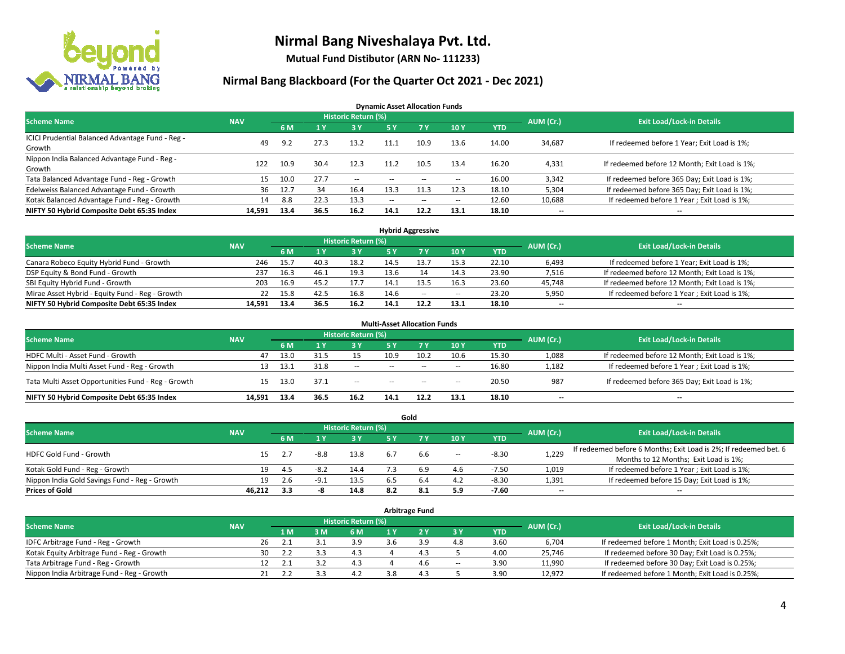

**Mutual Fund Distibutor (ARN No- 111233)**

### **Nirmal Bang Blackboard (For the Quarter Oct 2021 - Dec 2021)**

**Dynamic Asset Allocation Funds**

| <b>Scheme Name</b>                                         | <b>NAV</b> |      |      | Historic Return (%) |        |                          |                          |       | AUM (Cr.)                | <b>Exit Load/Lock-in Details</b>              |
|------------------------------------------------------------|------------|------|------|---------------------|--------|--------------------------|--------------------------|-------|--------------------------|-----------------------------------------------|
|                                                            |            | 6 M  |      | <b>3Y</b>           | 5 Y    | 7 Y                      | 10Y                      | YTD   |                          |                                               |
| ICICI Prudential Balanced Advantage Fund - Reg -<br>Growth | 49         | 9.2  | 27.3 | 13.2                | 11.1   | 10.9                     | 13.6                     | 14.00 | 34,687                   | If redeemed before 1 Year; Exit Load is 1%;   |
| Nippon India Balanced Advantage Fund - Reg -<br>Growth     | 122        | 10.9 | 30.4 | 12.3                | 11.2   | 10.5                     | 13.4                     | 16.20 | 4,331                    | If redeemed before 12 Month; Exit Load is 1%; |
| Tata Balanced Advantage Fund - Reg - Growth                | 15         | 10.0 | 27.7 | $\sim$              | $-$    | $\overline{\phantom{a}}$ | $\!-$                    | 16.00 | 3,342                    | If redeemed before 365 Day; Exit Load is 1%;  |
| Edelweiss Balanced Advantage Fund - Growth                 | 36         | 12.7 | -34  | 16.4                | 13.3   |                          | 12.3                     | 18.10 | 5,304                    | If redeemed before 365 Day; Exit Load is 1%;  |
| Kotak Balanced Advantage Fund - Reg - Growth               | 14         | 8.8  | 22.3 | 13.3                | $\sim$ | $\overline{\phantom{a}}$ | $\hspace{0.05cm} \ldots$ | 12.60 | 10,688                   | If redeemed before 1 Year; Exit Load is 1%;   |
| NIFTY 50 Hybrid Composite Debt 65:35 Index                 | 14.591     | 13.4 | 36.5 | 16.2                | 14.1   | 12.2                     | 13.1                     | 18.10 | $\overline{\phantom{a}}$ | --                                            |

| <b>Hybrid Aggressive</b>                        |            |      |      |                            |      |      |        |            |           |                                               |  |  |  |
|-------------------------------------------------|------------|------|------|----------------------------|------|------|--------|------------|-----------|-----------------------------------------------|--|--|--|
| <b>Scheme Name</b>                              | <b>NAV</b> |      |      | <b>Historic Return (%)</b> |      |      |        |            | AUM (Cr.) | <b>Exit Load/Lock-in Details</b>              |  |  |  |
|                                                 |            | 6 M  |      | 3 Y                        |      |      | 10Y    | <b>YTD</b> |           |                                               |  |  |  |
| Canara Robeco Equity Hybrid Fund - Growth       | 246        | 15.7 | 40.3 | 18.2                       | 14.5 |      | 15.3   | 22.10      | 6,493     | If redeemed before 1 Year; Exit Load is 1%;   |  |  |  |
| DSP Equity & Bond Fund - Growth                 | 237        | 16.3 | 46.1 | 19.3                       | 13.6 |      | 14.3   | 23.90      | 7,516     | If redeemed before 12 Month; Exit Load is 1%; |  |  |  |
| SBI Equity Hybrid Fund - Growth                 | 203        | 16.9 | 45.2 | 17.7                       |      |      | 16.3   | 23.60      | 45,748    | If redeemed before 12 Month; Exit Load is 1%; |  |  |  |
| Mirae Asset Hybrid - Equity Fund - Reg - Growth | 22         | 15.8 | 42.5 | 16.8                       | 14.6 | --   | $\sim$ | 23.20      | 5,950     | If redeemed before 1 Year; Exit Load is 1%;   |  |  |  |
| NIFTY 50 Hybrid Composite Debt 65:35 Index      | 14.591     | 13.4 | 36.5 | 16.2                       | 14.1 | 12.2 | 13.1   | 18.10      | $- -$     | $- -$                                         |  |  |  |

| <b>Multi-Asset Allocation Funds</b>                |            |      |      |                     |               |           |      |            |           |                                               |  |  |  |
|----------------------------------------------------|------------|------|------|---------------------|---------------|-----------|------|------------|-----------|-----------------------------------------------|--|--|--|
| <b>Scheme Name</b>                                 | <b>NAV</b> |      |      | Historic Return (%) |               |           |      |            | AUM (Cr.) | <b>Exit Load/Lock-in Details</b>              |  |  |  |
|                                                    |            | 6 M  |      | 3 Y                 | 5 Y           | <b>7Y</b> | 10Y  | <b>YTD</b> |           |                                               |  |  |  |
| HDFC Multi - Asset Fund - Growth                   | 47         | 13.0 | 31.5 | 15                  | 10.9          | 10.2      | 10.6 | 15.30      | 1,088     | If redeemed before 12 Month; Exit Load is 1%; |  |  |  |
| Nippon India Multi Asset Fund - Reg - Growth       | 13         | 13.1 | 31.8 | --                  | $\sim$ $\sim$ | $\sim$    | $-$  | 16.80      | 1,182     | If redeemed before 1 Year; Exit Load is 1%;   |  |  |  |
| Tata Multi Asset Opportunities Fund - Reg - Growth | 15         | 13.0 | 37.1 | $-$                 | $\sim$ $\sim$ | $-$       | $-$  | 20.50      | 987       | If redeemed before 365 Day; Exit Load is 1%;  |  |  |  |
| NIFTY 50 Hybrid Composite Debt 65:35 Index         | 14.591     | 13.4 | 36.5 | 16.2                | 14.1          | 12.2      | 13.1 | 18.10      | --        | $\overline{\phantom{a}}$                      |  |  |  |

| Gold                                          |            |     |        |                            |     |     |       |            |                          |                                                                  |  |  |  |  |
|-----------------------------------------------|------------|-----|--------|----------------------------|-----|-----|-------|------------|--------------------------|------------------------------------------------------------------|--|--|--|--|
| <b>Scheme Name</b>                            | <b>NAV</b> |     |        | <b>Historic Return (%)</b> |     |     |       |            | AUM (Cr.)                | <b>Exit Load/Lock-in Details</b>                                 |  |  |  |  |
|                                               |            | 6 M |        | 73 Y.                      | 5 Y |     | 10Y   | <b>YTD</b> |                          |                                                                  |  |  |  |  |
| HDFC Gold Fund - Growth                       |            |     | $-8.8$ | 13.8                       |     |     |       | $-8.30$    | 1,229                    | If redeemed before 6 Months; Exit Load is 2%; If redeemed bet. 6 |  |  |  |  |
|                                               | 15         |     |        |                            |     | b.b | $\!-$ |            |                          | Months to 12 Months; Exit Load is 1%;                            |  |  |  |  |
| Kotak Gold Fund - Reg - Growth                |            | 4.5 | $-8.2$ | 14.4                       |     | 6.9 | 4.6   | $-7.50$    | 1,019                    | If redeemed before 1 Year; Exit Load is 1%;                      |  |  |  |  |
| Nippon India Gold Savings Fund - Reg - Growth | 19         | 2.6 | $-9.1$ | 13.5                       |     | 6.4 | 4.2   | $-8.30$    | 1,391                    | If redeemed before 15 Day; Exit Load is 1%;                      |  |  |  |  |
| <b>Prices of Gold</b>                         | 46.212     | 3.3 |        | 14.8                       | 8.2 |     | 5.9   | -7.60      | $\overline{\phantom{a}}$ | --                                                               |  |  |  |  |

| <b>Arbitrage Fund</b>                      |            |                                  |     |     |     |      |        |            |        |                                                 |  |  |  |  |
|--------------------------------------------|------------|----------------------------------|-----|-----|-----|------|--------|------------|--------|-------------------------------------------------|--|--|--|--|
| <b>Scheme Name</b>                         | AUM (Cr.)  | <b>Exit Load/Lock-in Details</b> |     |     |     |      |        |            |        |                                                 |  |  |  |  |
|                                            | <b>NAV</b> | 1 M                              | 3 M | 6 M | 1 V | י כי | 3 Y    | <b>YTD</b> |        |                                                 |  |  |  |  |
| IDFC Arbitrage Fund - Reg - Growth         | 26         |                                  |     | 3.9 |     |      | 4.8    | 3.60       | 6,704  | If redeemed before 1 Month; Exit Load is 0.25%; |  |  |  |  |
| Kotak Equity Arbitrage Fund - Reg - Growth |            | 2.2                              |     | 4.3 |     |      |        | 4.00       | 25,746 | If redeemed before 30 Day; Exit Load is 0.25%;  |  |  |  |  |
| Tata Arbitrage Fund - Reg - Growth         | 12         |                                  | 35  | 4.3 |     |      | $\sim$ | 3.90       | 11,990 | If redeemed before 30 Day; Exit Load is 0.25%;  |  |  |  |  |
| Nippon India Arbitrage Fund - Reg - Growth |            |                                  |     |     |     |      |        | 3.90       | 12.972 | If redeemed before 1 Month; Exit Load is 0.25%; |  |  |  |  |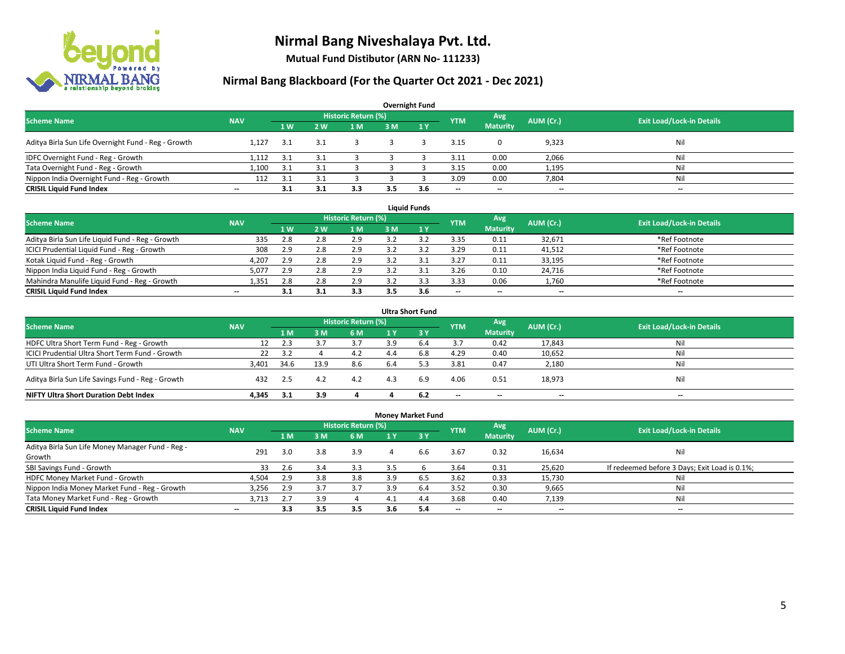

**Mutual Fund Distibutor (ARN No- 111233)**

| <b>Overnight Fund</b>                               |                          |                   |                |                            |     |              |            |                          |           |                                  |  |  |  |  |
|-----------------------------------------------------|--------------------------|-------------------|----------------|----------------------------|-----|--------------|------------|--------------------------|-----------|----------------------------------|--|--|--|--|
| <b>Scheme Name</b>                                  | <b>NAV</b>               |                   |                | <b>Historic Return (%)</b> |     |              | <b>YTM</b> | Avg                      | AUM (Cr.) | <b>Exit Load/Lock-in Details</b> |  |  |  |  |
|                                                     |                          | $4 \, \mathrm{W}$ | 2 <sub>w</sub> | 1 M                        | 3 M | $\sqrt{1}$ Y |            | <b>Maturity</b>          |           |                                  |  |  |  |  |
| Aditya Birla Sun Life Overnight Fund - Reg - Growth | 1.127                    | 3.1               | 3.1            |                            |     |              | 3.15       |                          | 9,323     | Nil                              |  |  |  |  |
| IDFC Overnight Fund - Reg - Growth                  | 1,112                    | 3.1               |                |                            |     |              | 3.11       | 0.00                     | 2,066     | Nil                              |  |  |  |  |
| Tata Overnight Fund - Reg - Growth                  | 1.100                    | 3.1               |                |                            |     |              | 3.15       | 0.00                     | 1,195     | Nil                              |  |  |  |  |
| Nippon India Overnight Fund - Reg - Growth          | 112                      | 3.1               |                |                            |     |              | 3.09       | 0.00                     | 7,804     | Nil                              |  |  |  |  |
| <b>CRISIL Liquid Fund Index</b>                     | $\overline{\phantom{a}}$ |                   | 3.1            | 3.3                        | 3.5 | 3.6          | --         | $\overline{\phantom{a}}$ | $- -$     | $-$                              |  |  |  |  |

| <b>Liquid Funds</b>                              |            |                |     |                            |     |     |                          |                 |           |                                  |  |  |  |  |
|--------------------------------------------------|------------|----------------|-----|----------------------------|-----|-----|--------------------------|-----------------|-----------|----------------------------------|--|--|--|--|
| <b>Scheme Name</b>                               | <b>NAV</b> |                |     | <b>Historic Return (%)</b> |     |     | <b>YTM</b>               | Avg             | AUM (Cr.) | <b>Exit Load/Lock-in Details</b> |  |  |  |  |
|                                                  |            | 1 <sub>W</sub> | 2W  | 1 M                        | 3 M |     |                          | <b>Maturity</b> |           |                                  |  |  |  |  |
| Aditya Birla Sun Life Liquid Fund - Reg - Growth | 335        | 2.8            | 2.8 | 2.9                        |     |     | 3.35                     | 0.11            | 32,671    | *Ref Footnote                    |  |  |  |  |
| ICICI Prudential Liquid Fund - Reg - Growth      | 308        | 2.9            | 2.8 | 2.9                        |     |     | 3.29                     | 0.11            | 41,512    | *Ref Footnote                    |  |  |  |  |
| Kotak Liquid Fund - Reg - Growth                 | 4,207      | 2.9            | 2.8 | 2.9                        |     |     | 3.27                     | 0.11            | 33,195    | *Ref Footnote                    |  |  |  |  |
| Nippon India Liquid Fund - Reg - Growth          | 5,07       | 2.9            | 2.8 | 2.9                        |     |     | 3.26                     | 0.10            | 24,716    | *Ref Footnote                    |  |  |  |  |
| Mahindra Manulife Liquid Fund - Reg - Growth     | 1.351      | 2.8            | 2.8 | 2.9                        |     |     | 3.33                     | 0.06            | 1,760     | *Ref Footnote                    |  |  |  |  |
| <b>CRISIL Liquid Fund Index</b>                  | $- -$      |                |     | 3.3                        |     | 3.6 | $\overline{\phantom{a}}$ | $- -$           | $- -$     | $-$                              |  |  |  |  |

|                                                   |            |      |      |                            |     | <b>Ultra Short Fund</b> |                          |                          |                          |                                  |
|---------------------------------------------------|------------|------|------|----------------------------|-----|-------------------------|--------------------------|--------------------------|--------------------------|----------------------------------|
| <b>Scheme Name</b>                                | <b>NAV</b> |      |      | <b>Historic Return (%)</b> |     |                         | <b>YTM</b>               | Avg                      | AUM (Cr.)                | <b>Exit Load/Lock-in Details</b> |
|                                                   |            | 1 M  | : M  | 6 M                        | 1 Y | $\overline{3}$ Y        |                          | <b>Maturity</b>          |                          |                                  |
| HDFC Ultra Short Term Fund - Reg - Growth         |            | 2.3  |      |                            |     | 6.4                     | 3.7                      | 0.42                     | 17,843                   | Nil                              |
| ICICI Prudential Ultra Short Term Fund - Growth   | 22         | 3.2  |      | 4.2                        | 4.4 | 6.8                     | 4.29                     | 0.40                     | 10,652                   | Nil                              |
| UTI Ultra Short Term Fund - Growth                | 3,401      | 34.6 | 13.9 | 8.6                        | 6.4 |                         | 3.81                     | 0.47                     | 2,180                    | Nil                              |
| Aditya Birla Sun Life Savings Fund - Reg - Growth | 432        | 2.5  | 4.2  | 4.2                        | 4.3 | 6.9                     | 4.06                     | 0.51                     | 18,973                   | Nil                              |
| <b>NIFTY Ultra Short Duration Debt Index</b>      | 4.345      |      | 3.9  |                            |     | 6.2                     | $\overline{\phantom{a}}$ | $\overline{\phantom{a}}$ | $\overline{\phantom{a}}$ | $-$                              |

|                                                  |                          |     |     |                     | <b>Money Market Fund</b> |     |            |                          |                          |                                               |
|--------------------------------------------------|--------------------------|-----|-----|---------------------|--------------------------|-----|------------|--------------------------|--------------------------|-----------------------------------------------|
| <b>Scheme Name</b>                               | <b>NAV</b>               |     |     | Historic Return (%) |                          |     | <b>YTM</b> | Avg                      | AUM (Cr.)                | <b>Exit Load/Lock-in Details</b>              |
|                                                  |                          | 1 M | 3 M | 6 M                 | 1 Y                      | 73Y |            | <b>Maturity</b>          |                          |                                               |
| Aditya Birla Sun Life Money Manager Fund - Reg - | 291                      | 3.0 | 3.8 | 3.9                 |                          | 6.6 | 3.67       | 0.32                     | 16,634                   | Nil                                           |
| Growth                                           |                          |     |     |                     |                          |     |            |                          |                          |                                               |
| SBI Savings Fund - Growth                        | 33                       | 2.6 | 3.4 | 3.3                 |                          |     | 3.64       | 0.31                     | 25,620                   | If redeemed before 3 Days; Exit Load is 0.1%; |
| HDFC Money Market Fund - Growth                  | 4,504                    | 2.9 | 3.8 | 3.8                 | 3.9                      | 6.5 | 3.62       | 0.33                     | 15,730                   | Nil                                           |
| Nippon India Money Market Fund - Reg - Growth    | 3,256                    | 2.9 |     | 3.7                 | 3.9                      | 6.4 | 3.52       | 0.30                     | 9,665                    | Nil                                           |
| Tata Money Market Fund - Reg - Growth            | 3,713                    | 2.7 | 3.9 |                     | 4.1                      | 4.4 | 3.68       | 0.40                     | 7,139                    | Nil                                           |
| <b>CRISIL Liquid Fund Index</b>                  | $\overline{\phantom{a}}$ | 3.3 | 3.5 | 3.5                 | 3.6                      | 5.4 | --         | $\overline{\phantom{a}}$ | $\overline{\phantom{a}}$ | $\overline{\phantom{a}}$                      |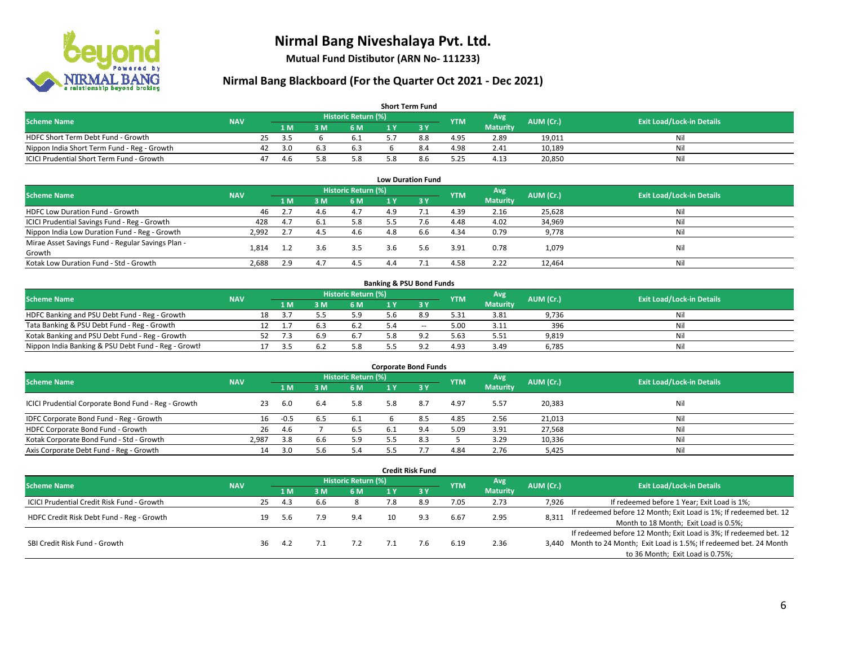

**Mutual Fund Distibutor (ARN No- 111233)**

| <b>Short Term Fund</b>                           |            |    |      |     |                     |  |     |            |                 |           |                                  |  |  |  |
|--------------------------------------------------|------------|----|------|-----|---------------------|--|-----|------------|-----------------|-----------|----------------------------------|--|--|--|
| <b>Scheme Name</b>                               | <b>NAV</b> |    |      |     | Historic Return (%) |  |     | <b>YTM</b> | Avg \           | AUM (Cr.) | <b>Exit Load/Lock-in Details</b> |  |  |  |
|                                                  |            |    | 1 M. | 8 M | 6 M                 |  |     |            | <b>Maturity</b> |           |                                  |  |  |  |
| HDFC Short Term Debt Fund - Growth               |            | 25 | - 25 |     | 6.1                 |  | 8.8 | 4.95       | 2.89            | 19.011    | Nil                              |  |  |  |
| Nippon India Short Term Fund - Reg - Growth      |            | 42 | 3.0  |     | 6.3                 |  | 8.4 | 4.98       | 2.41            | 10,189    | Nil                              |  |  |  |
| <b>ICICI Prudential Short Term Fund - Growth</b> |            | 47 | -4.6 |     | 5.8                 |  | 8.6 | 5.25       | 4.13            | 20,850    | Nil                              |  |  |  |

| <b>Low Duration Fund</b>                          |            |     |     |                            |     |      |            |                 |           |                                  |  |  |  |  |
|---------------------------------------------------|------------|-----|-----|----------------------------|-----|------|------------|-----------------|-----------|----------------------------------|--|--|--|--|
| <b>Scheme Name</b>                                | <b>NAV</b> |     |     | <b>Historic Return (%)</b> |     |      | <b>YTM</b> | Avg             | AUM (Cr.) | <b>Exit Load/Lock-in Details</b> |  |  |  |  |
|                                                   |            | 1 M | 3 M | 6 M                        |     | -3 Y |            | <b>Maturity</b> |           |                                  |  |  |  |  |
| HDFC Low Duration Fund - Growth                   | 46         | 2.7 | 4.6 | 4.7                        | 4.9 |      | 4.39       | 2.16            | 25,628    | Nil                              |  |  |  |  |
| ICICI Prudential Savings Fund - Reg - Growth      | 428        | 4.7 | 6.1 | 5.8                        | 5.5 | 7.6  | 4.48       | 4.02            | 34,969    | Nil                              |  |  |  |  |
| Nippon India Low Duration Fund - Reg - Growth     | 2,992      | 2.7 | 4.5 | 4.6                        | 4.8 | 6.6  | 4.34       | 0.79            | 9,778     | Nil                              |  |  |  |  |
| Mirae Asset Savings Fund - Regular Savings Plan - |            |     | 3.6 | 3.5                        |     | 5.6  |            |                 |           | Nil                              |  |  |  |  |
| Growth                                            | 1.814      |     |     |                            | 3.6 |      | 3.91       | 0.78            | 1,079     |                                  |  |  |  |  |
| Kotak Low Duration Fund - Std - Growth            | 2,688      | 2.9 | 4.  | 4.5                        | 4.4 |      | 4.58       | 2.22            | 12,464    | Nil                              |  |  |  |  |

| <b>Banking &amp; PSU Bond Funds</b>                 |            |    |      |     |                     |  |       |            |                 |           |                                  |  |  |
|-----------------------------------------------------|------------|----|------|-----|---------------------|--|-------|------------|-----------------|-----------|----------------------------------|--|--|
| <b>Scheme Name</b>                                  | <b>NAV</b> |    |      |     | Historic Return (%) |  |       | <b>YTM</b> | Avg             | AUM (Cr.) | <b>Exit Load/Lock-in Details</b> |  |  |
|                                                     |            |    | 4 M. | ያ M | 6 M                 |  |       |            | <b>Maturity</b> |           |                                  |  |  |
| HDFC Banking and PSU Debt Fund - Reg - Growth       |            | 18 | -3.7 |     | 5.9                 |  | 8.9   | 5.31       | 3.81            | 9,736     | Nil                              |  |  |
| Tata Banking & PSU Debt Fund - Reg - Growth         |            |    |      |     |                     |  | $- -$ | 5.00       | 3.11            | 396       | Nil                              |  |  |
| Kotak Banking and PSU Debt Fund - Reg - Growth      |            |    |      | 6.9 | 6.7                 |  |       | 5.63       | 5.51            | 9,819     | Nil                              |  |  |
| Nippon India Banking & PSU Debt Fund - Reg - Growth |            |    |      |     | 5.8                 |  |       | 4.93       | 3.49            | 6.785     | Nil                              |  |  |

| <b>Corporate Bond Funds</b>                         |            |        |      |                     |     |      |            |                 |           |                                  |  |
|-----------------------------------------------------|------------|--------|------|---------------------|-----|------|------------|-----------------|-----------|----------------------------------|--|
| <b>Scheme Name</b>                                  | <b>NAV</b> |        |      | Historic Return (%) |     |      | <b>YTM</b> | Avg             | AUM (Cr.) | <b>Exit Load/Lock-in Details</b> |  |
|                                                     |            | 1 M    | з м  | 6 M                 |     | -3 Y |            | <b>Maturity</b> |           |                                  |  |
| ICICI Prudential Corporate Bond Fund - Reg - Growth | 23         | -6.0   | -6.4 | 5.8                 | 5.8 | 8.7  | 4.97       | 5.57            | 20,383    | Nil                              |  |
| IDFC Corporate Bond Fund - Reg - Growth             | 16         | $-0.5$ |      | 6.1                 |     |      | 4.85       | 2.56            | 21,013    | Nil                              |  |
| HDFC Corporate Bond Fund - Growth                   | 26         | 4.6    |      | 6.5                 | 6.1 |      | 5.09       | 3.91            | 27,568    | Nil                              |  |
| Kotak Corporate Bond Fund - Std - Growth            | 2.987      | 3.8    | 6.6  | 5.9                 |     |      |            | 3.29            | 10,336    | Nil                              |  |
| Axis Corporate Debt Fund - Reg - Growth             | 14         | 3.0    |      | 5.4                 |     |      | 4.84       | 2.76            | 5,425     | Nil                              |  |

|                                                   |            |                            |     |     |     |     | <b>Credit Risk Fund</b> |            |                 |           |                                                                       |
|---------------------------------------------------|------------|----------------------------|-----|-----|-----|-----|-------------------------|------------|-----------------|-----------|-----------------------------------------------------------------------|
| <b>Scheme Name</b>                                | <b>NAV</b> | <b>Historic Return (%)</b> |     |     |     |     |                         |            | Avg             | AUM (Cr.) | <b>Exit Load/Lock-in Details</b>                                      |
|                                                   |            |                            | 1 M | : M | 6 M | 1 Y | 3Y                      | <b>YTM</b> | <b>Maturity</b> |           |                                                                       |
| <b>ICICI Prudential Credit Risk Fund - Growth</b> |            | 25                         | 4.3 | b.b |     | 7.8 | 8.9                     | 7.05       | 2.73            | 7,926     | If redeemed before 1 Year; Exit Load is 1%;                           |
| HDFC Credit Risk Debt Fund - Reg - Growth         |            | 19                         | 5.6 |     | 9.4 | 10. | 9.3                     | 6.67       | 2.95            | 8,311     | If redeemed before 12 Month; Exit Load is 1%; If redeemed bet. 12     |
|                                                   |            |                            |     |     |     |     |                         |            |                 |           | Month to 18 Month; Exit Load is 0.5%;                                 |
| SBI Credit Risk Fund - Growth                     |            |                            |     |     |     |     |                         |            |                 |           | If redeemed before 12 Month; Exit Load is 3%; If redeemed bet. 12     |
|                                                   |            | 36.                        | 4.2 |     | 7.2 |     | 7.6                     | 6.19       | 2.36            |           | 3,440 Month to 24 Month; Exit Load is 1.5%; If redeemed bet. 24 Month |
|                                                   |            |                            |     |     |     |     |                         |            |                 |           | to 36 Month; Exit Load is 0.75%;                                      |